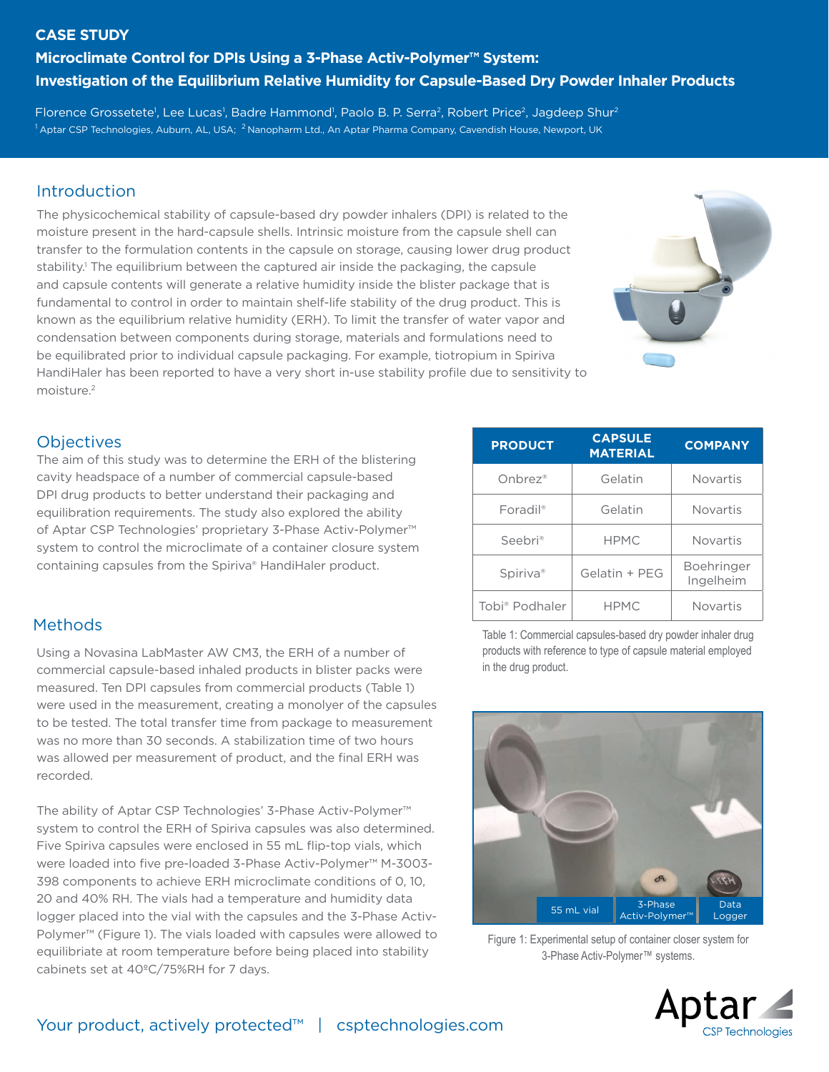#### **CASE STUDY**

# **Microclimate Control for DPIs Using a 3-Phase Activ-Polymer™ System: Investigation of the Equilibrium Relative Humidity for Capsule-Based Dry Powder Inhaler Products**

Florence Grossetete<sup>1</sup>, Lee Lucas<sup>1</sup>, Badre Hammond<sup>1</sup>, Paolo B. P. Serra<sup>2</sup>, Robert Price<sup>2</sup>, Jagdeep Shur<sup>2</sup>  $^1$ Aptar CSP Technologies, Auburn, AL, USA;  $^2$ Nanopharm Ltd., An Aptar Pharma Company, Cavendish House, Newport, UK

# **Introduction**

The physicochemical stability of capsule-based dry powder inhalers (DPI) is related to the moisture present in the hard-capsule shells. Intrinsic moisture from the capsule shell can transfer to the formulation contents in the capsule on storage, causing lower drug product stability.<sup>1</sup> The equilibrium between the captured air inside the packaging, the capsule and capsule contents will generate a relative humidity inside the blister package that is fundamental to control in order to maintain shelf-life stability of the drug product. This is known as the equilibrium relative humidity (ERH). To limit the transfer of water vapor and condensation between components during storage, materials and formulations need to be equilibrated prior to individual capsule packaging. For example, tiotropium in Spiriva HandiHaler has been reported to have a very short in-use stability profile due to sensitivity to moisture.2



### **Objectives**

The aim of this study was to determine the ERH of the blistering cavity headspace of a number of commercial capsule-based DPI drug products to better understand their packaging and equilibration requirements. The study also explored the ability of Aptar CSP Technologies' proprietary 3-Phase Activ-Polymer™ system to control the microclimate of a container closure system containing capsules from the Spiriva® HandiHaler product.

## Methods

Using a Novasina LabMaster AW CM3, the ERH of a number of commercial capsule-based inhaled products in blister packs were measured. Ten DPI capsules from commercial products (Table 1) were used in the measurement, creating a monolyer of the capsules to be tested. The total transfer time from package to measurement was no more than 30 seconds. A stabilization time of two hours was allowed per measurement of product, and the final ERH was recorded.

The ability of Aptar CSP Technologies' 3-Phase Activ-Polymer™ system to control the ERH of Spiriva capsules was also determined. Five Spiriva capsules were enclosed in 55 mL flip-top vials, which were loaded into five pre-loaded 3-Phase Activ-Polymer™ M-3003- 398 components to achieve ERH microclimate conditions of 0, 10, 20 and 40% RH. The vials had a temperature and humidity data logger placed into the vial with the capsules and the 3-Phase Activ-Polymer™ (Figure 1). The vials loaded with capsules were allowed to equilibriate at room temperature before being placed into stability cabinets set at 40ºC/75%RH for 7 days.

| <b>PRODUCT</b>         | <b>CAPSULE</b><br><b>MATERIAL</b> | <b>COMPANY</b>          |
|------------------------|-----------------------------------|-------------------------|
| Onbrez®                | Gelatin                           | <b>Novartis</b>         |
| $Foradil$ <sup>®</sup> | Gelatin                           | <b>Novartis</b>         |
| Seebri®                | <b>HPMC</b>                       | <b>Novartis</b>         |
| Spiriva <sup>®</sup>   | Gelatin + PEG                     | Boehringer<br>Ingelheim |
| Tobi® Podhaler         | <b>HPMC</b>                       | <b>Novartis</b>         |

Table 1: Commercial capsules-based dry powder inhaler drug products with reference to type of capsule material employed in the drug product.



Figure 1: Experimental setup of container closer system for 3-Phase Activ-Polymer™ systems.